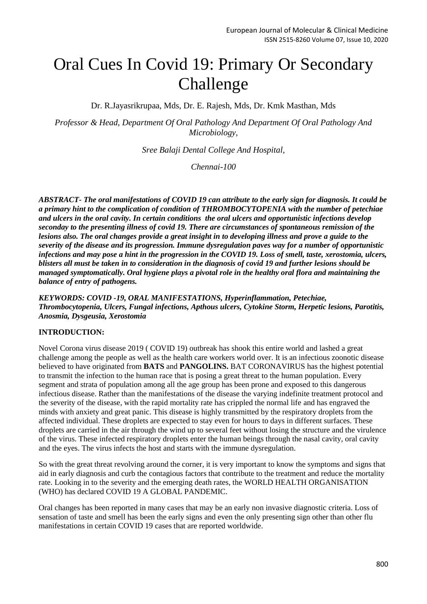# Oral Cues In Covid 19: Primary Or Secondary Challenge

Dr. R.Jayasrikrupaa, Mds, Dr. E. Rajesh, Mds, Dr. Kmk Masthan, Mds

*Professor & Head, Department Of Oral Pathology And Department Of Oral Pathology And Microbiology,*

*Sree Balaji Dental College And Hospital,*

*Chennai-100*

*ABSTRACT- The oral manifestations of COVID 19 can attribute to the early sign for diagnosis. It could be a primary hint to the complication of condition of THROMBOCYTOPENIA with the number of petechiae and ulcers in the oral cavity. In certain conditions the oral ulcers and opportunistic infections develop seconday to the presenting illness of covid 19. There are circumstances of spontaneous remission of the lesions also. The oral changes provide a great insight in to developing illness and prove a guide to the severity of the disease and its progression. Immune dysregulation paves way for a number of opportunistic infections and may pose a hint in the progression in the COVID 19. Loss of smell, taste, xerostomia, ulcers, blisters all must be taken in to consideration in the diagnosis of covid 19 and further lesions should be managed symptomatically. Oral hygiene plays a pivotal role in the healthy oral flora and maintaining the balance of entry of pathogens.*

*KEYWORDS: COVID -19, ORAL MANIFESTATIONS, Hyperinflammation, Petechiae, Thrombocytopenia, Ulcers, Fungal infections, Apthous ulcers, Cytokine Storm, Herpetic lesions, Parotitis, Anosmia, Dysgeusia, Xerostomia*

## **INTRODUCTION:**

Novel Corona virus disease 2019 ( COVID 19) outbreak has shook this entire world and lashed a great challenge among the people as well as the health care workers world over. It is an infectious zoonotic disease believed to have originated from **BATS** and **PANGOLINS.** BAT CORONAVIRUS has the highest potential to transmit the infection to the human race that is posing a great threat to the human population. Every segment and strata of population among all the age group has been prone and exposed to this dangerous infectious disease. Rather than the manifestations of the disease the varying indefinite treatment protocol and the severity of the disease, with the rapid mortality rate has crippled the normal life and has engraved the minds with anxiety and great panic. This disease is highly transmitted by the respiratory droplets from the affected individual. These droplets are expected to stay even for hours to days in different surfaces. These droplets are carried in the air through the wind up to several feet without losing the structure and the virulence of the virus. These infected respiratory droplets enter the human beings through the nasal cavity, oral cavity and the eyes. The virus infects the host and starts with the immune dysregulation.

So with the great threat revolving around the corner, it is very important to know the symptoms and signs that aid in early diagnosis and curb the contagious factors that contribute to the treatment and reduce the mortality rate. Looking in to the severity and the emerging death rates, the WORLD HEALTH ORGANISATION (WHO) has declared COVID 19 A GLOBAL PANDEMIC.

Oral changes has been reported in many cases that may be an early non invasive diagnostic criteria. Loss of sensation of taste and smell has been the early signs and even the only presenting sign other than other flu manifestations in certain COVID 19 cases that are reported worldwide.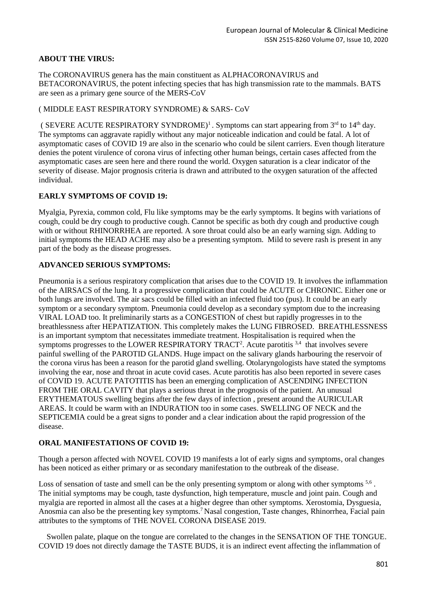## **ABOUT THE VIRUS:**

The CORONAVIRUS genera has the main constituent as ALPHACORONAVIRUS and BETACORONAVIRUS, the potent infecting species that has high transmission rate to the mammals. BATS are seen as a primary gene source of the MERS-CoV

#### ( MIDDLE EAST RESPIRATORY SYNDROME) & SARS- CoV

(SEVERE ACUTE RESPIRATORY SYNDROME)<sup>1</sup>. Symptoms can start appearing from  $3<sup>rd</sup>$  to  $14<sup>th</sup>$  day. The symptoms can aggravate rapidly without any major noticeable indication and could be fatal. A lot of asymptomatic cases of COVID 19 are also in the scenario who could be silent carriers. Even though literature denies the potent virulence of corona virus of infecting other human beings, certain cases affected from the asymptomatic cases are seen here and there round the world. Oxygen saturation is a clear indicator of the severity of disease. Major prognosis criteria is drawn and attributed to the oxygen saturation of the affected individual.

## **EARLY SYMPTOMS OF COVID 19:**

Myalgia, Pyrexia, common cold, Flu like symptoms may be the early symptoms. It begins with variations of cough, could be dry cough to productive cough. Cannot be specific as both dry cough and productive cough with or without RHINORRHEA are reported. A sore throat could also be an early warning sign. Adding to initial symptoms the HEAD ACHE may also be a presenting symptom. Mild to severe rash is present in any part of the body as the disease progresses.

## **ADVANCED SERIOUS SYMPTOMS:**

Pneumonia is a serious respiratory complication that arises due to the COVID 19. It involves the inflammation of the AIRSACS of the lung. It a progressive complication that could be ACUTE or CHRONIC. Either one or both lungs are involved. The air sacs could be filled with an infected fluid too (pus). It could be an early symptom or a secondary symptom. Pneumonia could develop as a secondary symptom due to the increasing VIRAL LOAD too. It preliminarily starts as a CONGESTION of chest but rapidly progresses in to the breathlessness after HEPATIZATION. This completely makes the LUNG FIBROSED. BREATHLESSNESS is an important symptom that necessitates immediate treatment. Hospitalisation is required when the symptoms progresses to the LOWER RESPIRATORY TRACT<sup>2</sup>. Acute parotitis  $3,4$  that involves severe painful swelling of the PAROTID GLANDS. Huge impact on the salivary glands harbouring the reservoir of the corona virus has been a reason for the parotid gland swelling. Otolaryngologists have stated the symptoms involving the ear, nose and throat in acute covid cases. Acute parotitis has also been reported in severe cases of COVID 19. ACUTE PATOTITIS has been an emerging complication of ASCENDING INFECTION FROM THE ORAL CAVITY that plays a serious threat in the prognosis of the patient. An unusual ERYTHEMATOUS swelling begins after the few days of infection , present around the AURICULAR AREAS. It could be warm with an INDURATION too in some cases. SWELLING OF NECK and the SEPTICEMIA could be a great signs to ponder and a clear indication about the rapid progression of the disease.

## **ORAL MANIFESTATIONS OF COVID 19:**

Though a person affected with NOVEL COVID 19 manifests a lot of early signs and symptoms, oral changes has been noticed as either primary or as secondary manifestation to the outbreak of the disease.

Loss of sensation of taste and smell can be the only presenting symptom or along with other symptoms <sup>5,6</sup>. The initial symptoms may be cough, taste dysfunction, high temperature, muscle and joint pain. Cough and myalgia are reported in almost all the cases at a higher degree than other symptoms. Xerostomia, Dysguesia, Anosmia can also be the presenting key symptoms. <sup>7</sup> Nasal congestion, Taste changes, Rhinorrhea, Facial pain attributes to the symptoms of THE NOVEL CORONA DISEASE 2019.

 Swollen palate, plaque on the tongue are correlated to the changes in the SENSATION OF THE TONGUE. COVID 19 does not directly damage the TASTE BUDS, it is an indirect event affecting the inflammation of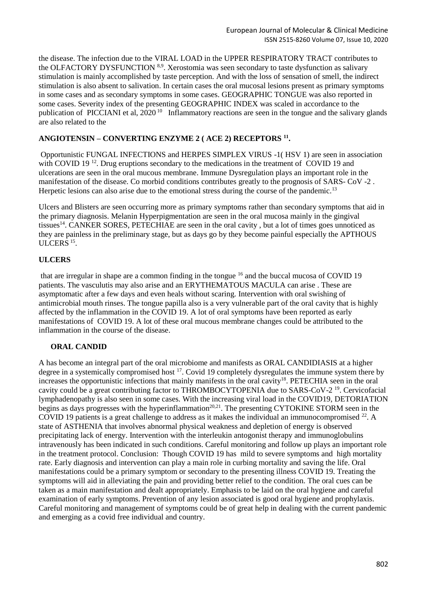the disease. The infection due to the VIRAL LOAD in the UPPER RESPIRATORY TRACT contributes to the OLFACTORY DYSFUNCTION <sup>8,9</sup>. Xerostomia was seen secondary to taste dysfunction as salivary stimulation is mainly accomplished by taste perception. And with the loss of sensation of smell, the indirect stimulation is also absent to salivation. In certain cases the oral mucosal lesions present as primary symptoms in some cases and as secondary symptoms in some cases. GEOGRAPHIC TONGUE was also reported in some cases. Severity index of the presenting GEOGRAPHIC INDEX was scaled in accordance to the publication of PICCIANI et al, 2020<sup>10</sup> Inflammatory reactions are seen in the tongue and the salivary glands are also related to the

#### **ANGIOTENSIN – CONVERTING ENZYME 2 ( ACE 2) RECEPTORS <sup>11</sup> .**

Opportunistic FUNGAL INFECTIONS and HERPES SIMPLEX VIRUS -1( HSV 1) are seen in association with COVID 19<sup>12</sup>. Drug eruptions secondary to the medications in the treatment of COVID 19 and ulcerations are seen in the oral mucous membrane. Immune Dysregulation plays an important role in the manifestation of the disease. Co morbid conditions contributes greatly to the prognosis of SARS- CoV -2 . Herpetic lesions can also arise due to the emotional stress during the course of the pandemic.<sup>13</sup>

Ulcers and Blisters are seen occurring more as primary symptoms rather than secondary symptoms that aid in the primary diagnosis. Melanin Hyperpigmentation are seen in the oral mucosa mainly in the gingival tissues<sup>14</sup>. CANKER SORES, PETECHIAE are seen in the oral cavity, but a lot of times goes unnoticed as they are painless in the preliminary stage, but as days go by they become painful especially the APTHOUS ULCERS<sup>15</sup>.

## **ULCERS**

that are irregular in shape are a common finding in the tongue <sup>16</sup> and the buccal mucosa of COVID 19 patients. The vasculutis may also arise and an ERYTHEMATOUS MACULA can arise . These are asymptomatic after a few days and even heals without scaring. Intervention with oral swishing of antimicrobial mouth rinses. The tongue papilla also is a very vulnerable part of the oral cavity that is highly affected by the inflammation in the COVID 19. A lot of oral symptoms have been reported as early manifestations of COVID 19. A lot of these oral mucous membrane changes could be attributed to the inflammation in the course of the disease.

## **ORAL CANDID**

A has become an integral part of the oral microbiome and manifests as ORAL CANDIDIASIS at a higher degree in a systemically compromised host <sup>17</sup>. Covid 19 completely dysregulates the immune system there by increases the opportunistic infections that mainly manifests in the oral cavity<sup>18</sup>. PETECHIA seen in the oral cavity could be a great contributing factor to THROMBOCYTOPENIA due to SARS-CoV-2<sup>19</sup>. Cervicofacial lymphadenopathy is also seen in some cases. With the increasing viral load in the COVID19, DETORIATION begins as days progresses with the hyperinflammation<sup>20,21</sup>. The presenting CYTOKINE STORM seen in the COVID 19 patients is a great challenge to address as it makes the individual an immunocompromised  $^{22}$ . A state of ASTHENIA that involves abnormal physical weakness and depletion of energy is observed precipitating lack of energy. Intervention with the interleukin antogonist therapy and immunoglobulins intravenously has been indicated in such conditions. Careful monitoring and follow up plays an important role in the treatment protocol. Conclusion: Though COVID 19 has mild to severe symptoms and high mortality rate. Early diagnosis and intervention can play a main role in curbing mortality and saving the life. Oral manifestations could be a primary symptom or secondary to the presenting illness COVID 19. Treating the symptoms will aid in alleviating the pain and providing better relief to the condition. The oral cues can be taken as a main manifestation and dealt appropriately. Emphasis to be laid on the oral hygiene and careful examination of early symptoms. Prevention of any lesion associated is good oral hygiene and prophylaxis. Careful monitoring and management of symptoms could be of great help in dealing with the current pandemic and emerging as a covid free individual and country.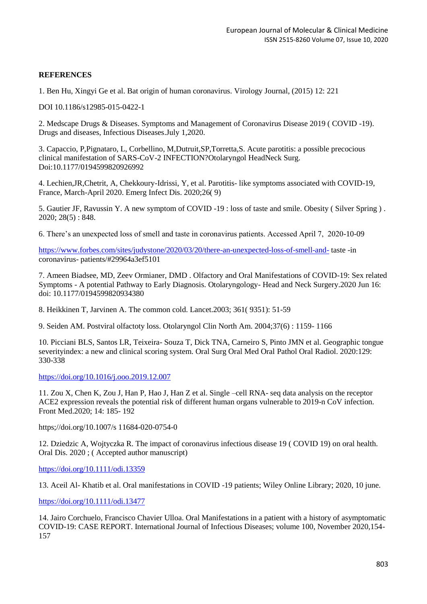#### **REFERENCES**

1. Ben Hu, Xingyi Ge et al. Bat origin of human coronavirus. Virology Journal, (2015) 12: 221

DOI 10.1186/s12985-015-0422-1

2. Medscape Drugs & Diseases. Symptoms and Management of Coronavirus Disease 2019 ( COVID -19). Drugs and diseases, Infectious Diseases.July 1,2020.

3. Capaccio, P,Pignataro, L, Corbellino, M,Dutruit,SP,Torretta,S. Acute parotitis: a possible precocious clinical manifestation of SARS-CoV-2 INFECTION?Otolaryngol HeadNeck Surg. Doi:10.1177/0194599820926992

4. Lechien,JR,Chetrit, A, Chekkoury-Idrissi, Y, et al. Parotitis- like symptoms associated with COVID-19, France, March-April 2020. Emerg Infect Dis. 2020;26( 9)

5. Gautier JF, Ravussin Y. A new symptom of COVID -19 : loss of taste and smile. Obesity ( Silver Spring ) . 2020; 28(5) : 848.

6. There's an unexpected loss of smell and taste in coronavirus patients. Accessed April 7, 2020-10-09

<https://www.forbes.com/sites/judystone/2020/03/20/there-an-unexpected-loss-of-smell-and-> taste -in coronavirus- patients/#29964a3ef5101

7. Ameen Biadsee, MD, Zeev Ormianer, DMD . Olfactory and Oral Manifestations of COVID-19: Sex related Symptoms - A potential Pathway to Early Diagnosis. Otolaryngology- Head and Neck Surgery.2020 Jun 16: doi: 10.1177/0194599820934380

8. Heikkinen T, Jarvinen A. The common cold. Lancet.2003; 361( 9351): 51-59

9. Seiden AM. Postviral olfactoty loss. Otolaryngol Clin North Am. 2004;37(6) : 1159- 1166

10. Picciani BLS, Santos LR, Teixeira- Souza T, Dick TNA, Carneiro S, Pinto JMN et al. Geographic tongue severityindex: a new and clinical scoring system. Oral Surg Oral Med Oral Pathol Oral Radiol. 2020:129: 330-338

<https://doi.org/10.1016/j.ooo.2019.12.007>

11. Zou X, Chen K, Zou J, Han P, Hao J, Han Z et al. Single –cell RNA- seq data analysis on the receptor ACE2 expression reveals the potential risk of different human organs vulnerable to 2019-n CoV infection. Front Med.2020; 14: 185- 192

https;//doi.org/10.1007/s 11684-020-0754-0

12. Dziedzic A, Wojtyczka R. The impact of coronavirus infectious disease 19 ( COVID 19) on oral health. Oral Dis. 2020 ; ( Accepted author manuscript)

<https://doi.org/10.1111/odi.13359>

13. Aceil Al- Khatib et al. Oral manifestations in COVID -19 patients; Wiley Online Library; 2020, 10 june.

<https://doi.org/10.1111/odi.13477>

14. Jairo Corchuelo, Francisco Chavier Ulloa. Oral Manifestations in a patient with a history of asymptomatic COVID-19: CASE REPORT. International Journal of Infectious Diseases; volume 100, November 2020,154- 157